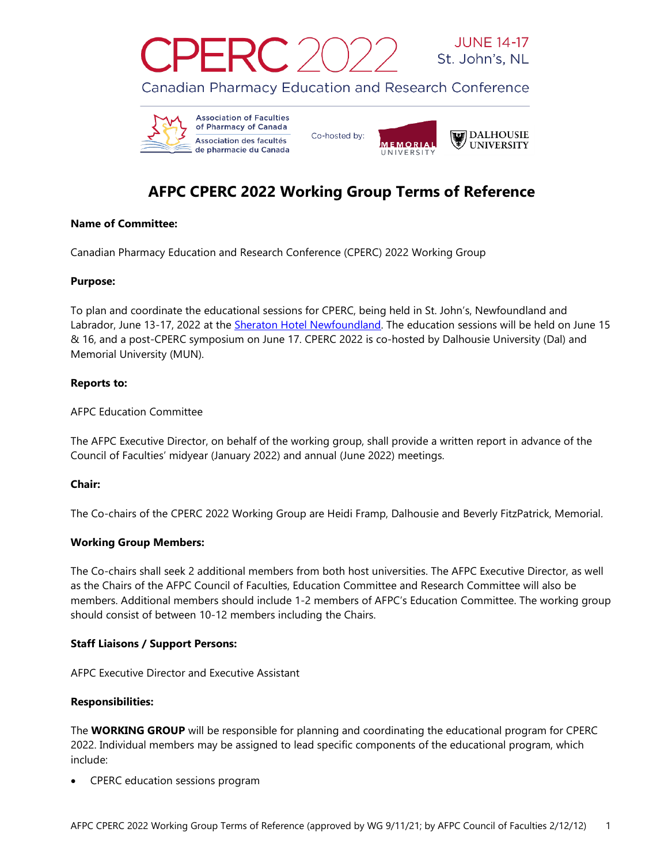





# **AFPC CPERC 2022 Working Group Terms of Reference**

### **Name of Committee:**

Canadian Pharmacy Education and Research Conference (CPERC) 2022 Working Group

## **Purpose:**

To plan and coordinate the educational sessions for CPERC, being held in St. John's, Newfoundland and Labrador, June 13-17, 2022 at the [Sheraton Hotel Newfoundland.](https://www.marriott.com/hotels/travel/yytsi-sheraton-hotel-newfoundland/) The education sessions will be held on June 15 & 16, and a post-CPERC symposium on June 17. CPERC 2022 is co-hosted by Dalhousie University (Dal) and Memorial University (MUN).

## **Reports to:**

AFPC Education Committee

The AFPC Executive Director, on behalf of the working group, shall provide a written report in advance of the Council of Faculties' midyear (January 2022) and annual (June 2022) meetings.

# **Chair:**

The Co-chairs of the CPERC 2022 Working Group are Heidi Framp, Dalhousie and Beverly FitzPatrick, Memorial.

# **Working Group Members:**

The Co-chairs shall seek 2 additional members from both host universities. The AFPC Executive Director, as well as the Chairs of the AFPC Council of Faculties, Education Committee and Research Committee will also be members. Additional members should include 1-2 members of AFPC's Education Committee. The working group should consist of between 10-12 members including the Chairs.

### **Staff Liaisons / Support Persons:**

AFPC Executive Director and Executive Assistant

### **Responsibilities:**

The **WORKING GROUP** will be responsible for planning and coordinating the educational program for CPERC 2022. Individual members may be assigned to lead specific components of the educational program, which include:

• CPERC education sessions program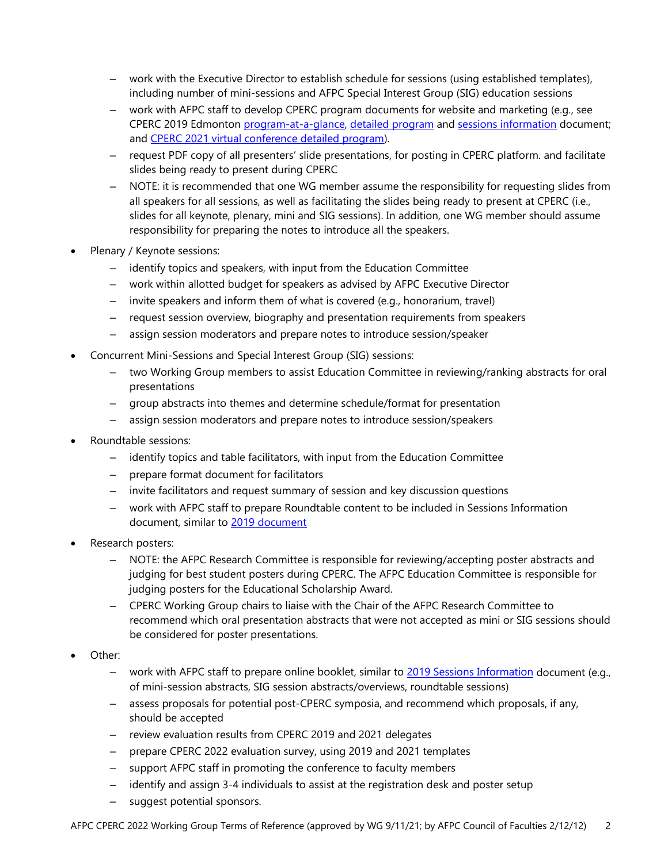- ‒ work with the Executive Director to establish schedule for sessions (using established templates), including number of mini-sessions and AFPC Special Interest Group (SIG) education sessions
- ‒ work with AFPC staff to develop CPERC program documents for website and marketing (e.g., see CPERC 2019 Edmonton [program-at-a-glance,](http://afpc.info/system/files/public/AFPC%20Program%20at%20Glance%20for%20web_FINAL_June%204%2C%202019.pdf) [detailed program](http://afpc.info/system/files/public/AFPC%20Conference%20Program%202019_FINAL_website%20version.pdf) and sessions [information](http://afpc.info/system/files/public/2019%20CPERC%20Sessions%20Information_Roundtables_Mini-SIG%20Abstracts_Final_25May19_0.pdf) document; and [CPERC 2021 virtual conference detailed program\)](http://afpc.info/system/files/public/AFPC%20CPERC%202021%20Virtual%20Conference%20June%201-17_PROGRAM_final%201-6-compressed.pdf).
- ‒ request PDF copy of all presenters' slide presentations, for posting in CPERC platform. and facilitate slides being ready to present during CPERC
- ‒ NOTE: it is recommended that one WG member assume the responsibility for requesting slides from all speakers for all sessions, as well as facilitating the slides being ready to present at CPERC (i.e., slides for all keynote, plenary, mini and SIG sessions). In addition, one WG member should assume responsibility for preparing the notes to introduce all the speakers.
- Plenary / Keynote sessions:
	- ‒ identify topics and speakers, with input from the Education Committee
	- ‒ work within allotted budget for speakers as advised by AFPC Executive Director
	- ‒ invite speakers and inform them of what is covered (e.g., honorarium, travel)
	- ‒ request session overview, biography and presentation requirements from speakers
	- ‒ assign session moderators and prepare notes to introduce session/speaker
- Concurrent Mini-Sessions and Special Interest Group (SIG) sessions:
	- ‒ two Working Group members to assist Education Committee in reviewing/ranking abstracts for oral presentations
	- ‒ group abstracts into themes and determine schedule/format for presentation
	- ‒ assign session moderators and prepare notes to introduce session/speakers
- Roundtable sessions:
	- ‒ identify topics and table facilitators, with input from the Education Committee
	- ‒ prepare format document for facilitators
	- ‒ invite facilitators and request summary of session and key discussion questions
	- ‒ work with AFPC staff to prepare Roundtable content to be included in Sessions Information [document](http://afpc.info/system/files/public/2019%20CPERC%20Sessions%20Information_Roundtables_Mini-SIG%20Abstracts_Final_25May19_0.pdf), similar to 2019 document
- Research posters:
	- ‒ NOTE: the AFPC Research Committee is responsible for reviewing/accepting poster abstracts and judging for best student posters during CPERC. The AFPC Education Committee is responsible for judging posters for the Educational Scholarship Award.
	- ‒ CPERC Working Group chairs to liaise with the Chair of the AFPC Research Committee to recommend which oral presentation abstracts that were not accepted as mini or SIG sessions should be considered for poster presentations.
- Other:
	- ‒ work with AFPC staff to prepare online booklet, similar to 2019 [Sessions Information](http://afpc.info/system/files/public/2019%20CPERC%20Sessions%20Information_Roundtables_Mini-SIG%20Abstracts_Final_25May19_0.pdf) document (e.g., of mini-session abstracts, SIG session abstracts/overviews, roundtable sessions)
	- ‒ assess proposals for potential post-CPERC symposia, and recommend which proposals, if any, should be accepted
	- ‒ review evaluation results from CPERC 2019 and 2021 delegates
	- ‒ prepare CPERC 2022 evaluation survey, using 2019 and 2021 templates
	- support AFPC staff in promoting the conference to faculty members
	- identify and assign 3-4 individuals to assist at the registration desk and poster setup
	- ‒ suggest potential sponsors.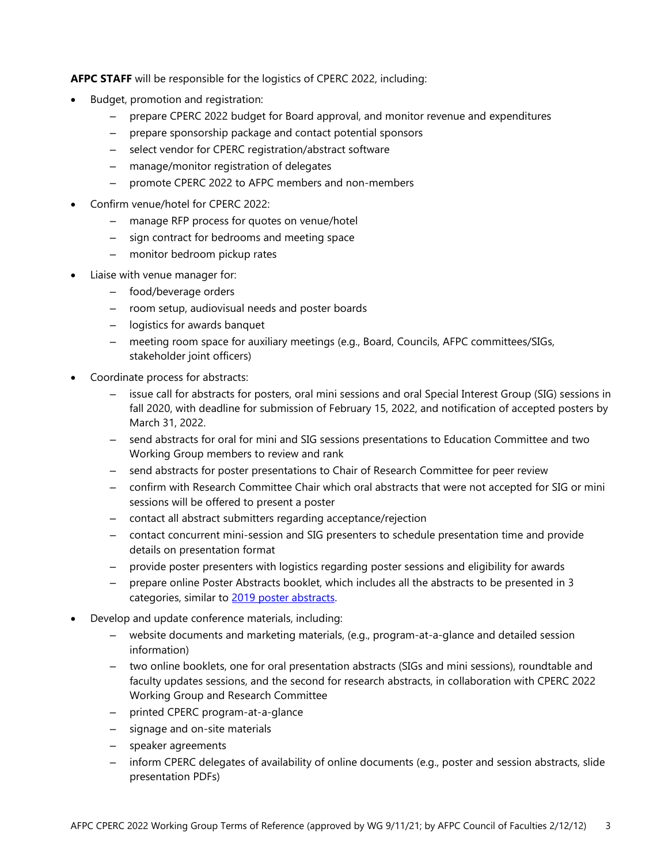**AFPC STAFF** will be responsible for the logistics of CPERC 2022, including:

- Budget, promotion and registration:
	- ‒ prepare CPERC 2022 budget for Board approval, and monitor revenue and expenditures
	- ‒ prepare sponsorship package and contact potential sponsors
	- select vendor for CPERC registration/abstract software
	- ‒ manage/monitor registration of delegates
	- ‒ promote CPERC 2022 to AFPC members and non-members
- Confirm venue/hotel for CPERC 2022:
	- ‒ manage RFP process for quotes on venue/hotel
	- ‒ sign contract for bedrooms and meeting space
	- monitor bedroom pickup rates
- Liaise with venue manager for:
	- ‒ food/beverage orders
	- ‒ room setup, audiovisual needs and poster boards
	- ‒ logistics for awards banquet
	- ‒ meeting room space for auxiliary meetings (e.g., Board, Councils, AFPC committees/SIGs, stakeholder joint officers)
- Coordinate process for abstracts:
	- ‒ issue call for abstracts for posters, oral mini sessions and oral Special Interest Group (SIG) sessions in fall 2020, with deadline for submission of February 15, 2022, and notification of accepted posters by March 31, 2022.
	- ‒ send abstracts for oral for mini and SIG sessions presentations to Education Committee and two Working Group members to review and rank
	- ‒ send abstracts for poster presentations to Chair of Research Committee for peer review
	- ‒ confirm with Research Committee Chair which oral abstracts that were not accepted for SIG or mini sessions will be offered to present a poster
	- ‒ contact all abstract submitters regarding acceptance/rejection
	- ‒ contact concurrent mini-session and SIG presenters to schedule presentation time and provide details on presentation format
	- ‒ provide poster presenters with logistics regarding poster sessions and eligibility for awards
	- ‒ prepare online Poster Abstracts booklet, which includes all the abstracts to be presented in 3 categories, similar to 2019 [poster abstracts.](http://afpc.info/system/files/public/2019%20CPERC%20Poster%20Abstracts%20Listing_Optimized.pdf)
- Develop and update conference materials, including:
	- ‒ website documents and marketing materials, (e.g., program-at-a-glance and detailed session information)
	- ‒ two online booklets, one for oral presentation abstracts (SIGs and mini sessions), roundtable and faculty updates sessions, and the second for research abstracts, in collaboration with CPERC 2022 Working Group and Research Committee
	- printed CPERC program-at-a-glance
	- ‒ signage and on-site materials
	- ‒ speaker agreements
	- ‒ inform CPERC delegates of availability of online documents (e.g., poster and session abstracts, slide presentation PDFs)